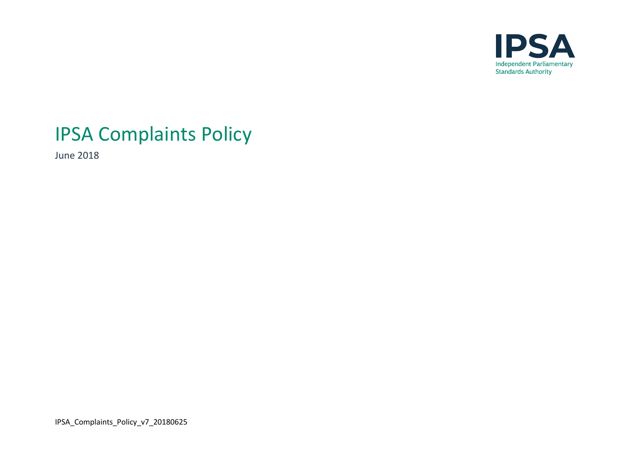

# IPSA Complaints Policy

June 2018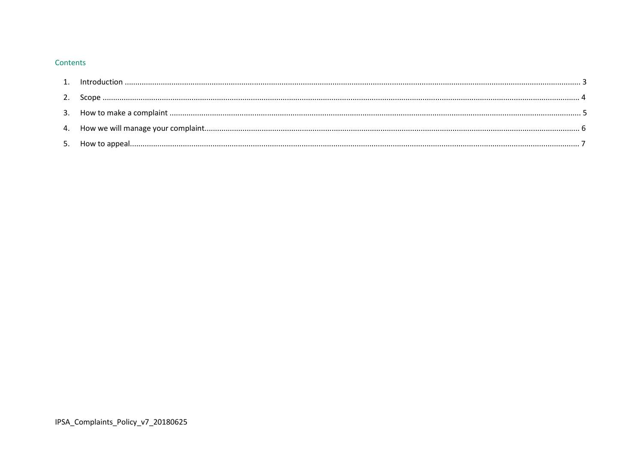#### Contents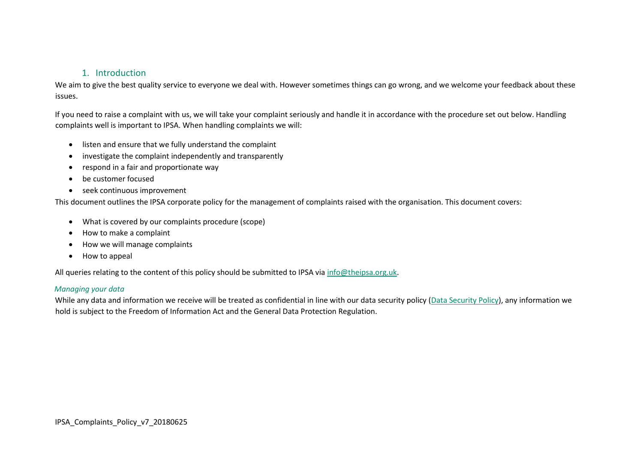## 1. Introduction

We aim to give the best quality service to everyone we deal with. However sometimes things can go wrong, and we welcome your feedback about these issues.

If you need to raise a complaint with us, we will take your complaint seriously and handle it in accordance with the procedure set out below. Handling complaints well is important to IPSA. When handling complaints we will:

- listen and ensure that we fully understand the complaint
- investigate the complaint independently and transparently
- respond in a fair and proportionate way
- be customer focused
- seek continuous improvement

This document outlines the IPSA corporate policy for the management of complaints raised with the organisation. This document covers:

- What is covered by our complaints procedure (scope)
- How to make a complaint
- How we will manage complaints
- How to appeal

All queries relating to the content of this policy should be submitted to IPSA via [info@theipsa.org.uk.](mailto:info@theipsa.org.uk)

#### *Managing your data*

While any data and information we receive will be treated as confidential in line with our data security policy [\(Data Security Policy](https://www.theipsa.org.uk/freedom-of-information)[\),](http://www.theipsa.org.uk/media/184833/information-governance-and-assurance-framework.pdf) any information we hold is subject to the Freedom of Information Act and the General Data Protection Regulation.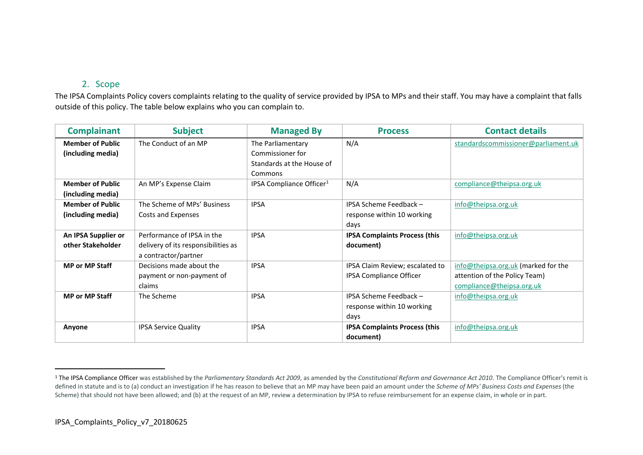# 2. Scope

The IPSA Complaints Policy covers complaints relating to the quality of service provided by IPSA to MPs and their staff. You may have a complaint that falls outside of this policy. The table below explains who you can complain to.

| <b>Complainant</b>      | <b>Subject</b>                      | <b>Managed By</b>                    | <b>Process</b>                       | <b>Contact details</b>              |
|-------------------------|-------------------------------------|--------------------------------------|--------------------------------------|-------------------------------------|
| <b>Member of Public</b> | The Conduct of an MP                | The Parliamentary                    | N/A                                  | standardscommissioner@parliament.uk |
| (including media)       |                                     | Commissioner for                     |                                      |                                     |
|                         |                                     | Standards at the House of            |                                      |                                     |
|                         |                                     | Commons                              |                                      |                                     |
| <b>Member of Public</b> | An MP's Expense Claim               | IPSA Compliance Officer <sup>1</sup> | N/A                                  | compliance@theipsa.org.uk           |
| (including media)       |                                     |                                      |                                      |                                     |
| <b>Member of Public</b> | The Scheme of MPs' Business         | <b>IPSA</b>                          | IPSA Scheme Feedback -               | info@theipsa.org.uk                 |
| (including media)       | Costs and Expenses                  |                                      | response within 10 working           |                                     |
|                         |                                     |                                      | days                                 |                                     |
| An IPSA Supplier or     | Performance of IPSA in the          | <b>IPSA</b>                          | <b>IPSA Complaints Process (this</b> | info@theipsa.org.uk                 |
| other Stakeholder       | delivery of its responsibilities as |                                      | document)                            |                                     |
|                         | a contractor/partner                |                                      |                                      |                                     |
| <b>MP or MP Staff</b>   | Decisions made about the            | <b>IPSA</b>                          | IPSA Claim Review; escalated to      | info@theipsa.org.uk (marked for the |
|                         | payment or non-payment of           |                                      | <b>IPSA Compliance Officer</b>       | attention of the Policy Team)       |
|                         | claims                              |                                      |                                      | compliance@theipsa.org.uk           |
| <b>MP or MP Staff</b>   | The Scheme                          | <b>IPSA</b>                          | IPSA Scheme Feedback -               | info@theipsa.org.uk                 |
|                         |                                     |                                      | response within 10 working           |                                     |
|                         |                                     |                                      | days                                 |                                     |
| Anyone                  | <b>IPSA Service Quality</b>         | <b>IPSA</b>                          | <b>IPSA Complaints Process (this</b> | info@theipsa.org.uk                 |
|                         |                                     |                                      | document)                            |                                     |

<sup>&</sup>lt;sup>1</sup> The IPSA Compliance Officer was established by the *Parliamentary Standards Act 2009*, as amended by the *Constitutional Reform and Governance Act 2010*. The Compliance Officer's remit is defined in statute and is to (a) conduct an investigation if he has reason to believe that an MP may have been paid an amount under the *Scheme of MPs' Business Costs and Expenses* (the Scheme) that should not have been allowed; and (b) at the request of an MP, review a determination by IPSA to refuse reimbursement for an expense claim, in whole or in part.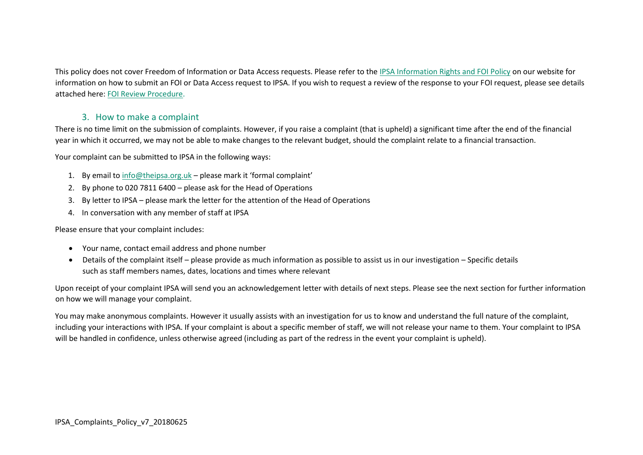This policy does not cover Freedom of Information or Data Access requests. Please refer to the [IPSA Information Rights and FOI Policy](https://www.theipsa.org.uk/freedom-of-information) on our website for information on how to submit an FOI or Data Access request to IPSA. If you wish to request a review of the response to your FOI request, please see details attached here[: FOI Review Procedure](https://www.theipsa.org.uk/freedom-of-information)[.](http://www.theipsa.org.uk/media/184592/internal-review-procedure.pdf)

## 3. How to make a complaint

There is no time limit on the submission of complaints. However, if you raise a complaint (that is upheld) a significant time after the end of the financial year in which it occurred, we may not be able to make changes to the relevant budget, should the complaint relate to a financial transaction.

Your complaint can be submitted to IPSA in the following ways:

- 1. By email t[o info@theipsa.org.uk](mailto:info@theipsa.org.uk) please mark it 'formal complaint'
- 2. By phone to 020 7811 6400 please ask for the Head of Operations
- 3. By letter to IPSA please mark the letter for the attention of the Head of Operations
- 4. In conversation with any member of staff at IPSA

Please ensure that your complaint includes:

- Your name, contact email address and phone number
- Details of the complaint itself please provide as much information as possible to assist us in our investigation Specific details such as staff members names, dates, locations and times where relevant

Upon receipt of your complaint IPSA will send you an acknowledgement letter with details of next steps. Please see the next section for further information on how we will manage your complaint.

You may make anonymous complaints. However it usually assists with an investigation for us to know and understand the full nature of the complaint, including your interactions with IPSA. If your complaint is about a specific member of staff, we will not release your name to them. Your complaint to IPSA will be handled in confidence, unless otherwise agreed (including as part of the redress in the event your complaint is upheld).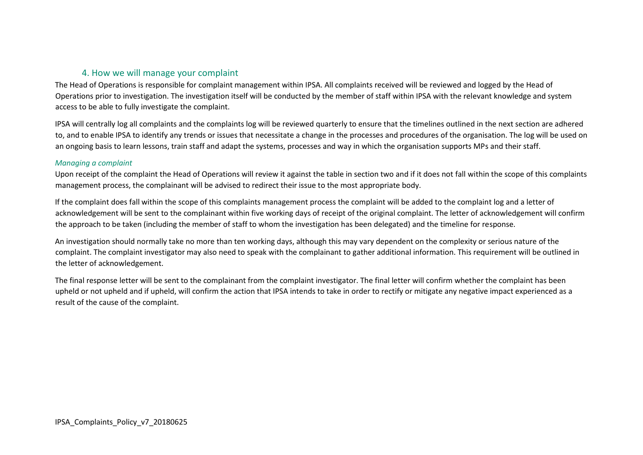# 4. How we will manage your complaint

The Head of Operations is responsible for complaint management within IPSA. All complaints received will be reviewed and logged by the Head of Operations prior to investigation. The investigation itself will be conducted by the member of staff within IPSA with the relevant knowledge and system access to be able to fully investigate the complaint.

IPSA will centrally log all complaints and the complaints log will be reviewed quarterly to ensure that the timelines outlined in the next section are adhered to, and to enable IPSA to identify any trends or issues that necessitate a change in the processes and procedures of the organisation. The log will be used on an ongoing basis to learn lessons, train staff and adapt the systems, processes and way in which the organisation supports MPs and their staff.

### *Managing a complaint*

Upon receipt of the complaint the Head of Operations will review it against the table in section two and if it does not fall within the scope of this complaints management process, the complainant will be advised to redirect their issue to the most appropriate body.

If the complaint does fall within the scope of this complaints management process the complaint will be added to the complaint log and a letter of acknowledgement will be sent to the complainant within five working days of receipt of the original complaint. The letter of acknowledgement will confirm the approach to be taken (including the member of staff to whom the investigation has been delegated) and the timeline for response.

An investigation should normally take no more than ten working days, although this may vary dependent on the complexity or serious nature of the complaint. The complaint investigator may also need to speak with the complainant to gather additional information. This requirement will be outlined in the letter of acknowledgement.

The final response letter will be sent to the complainant from the complaint investigator. The final letter will confirm whether the complaint has been upheld or not upheld and if upheld, will confirm the action that IPSA intends to take in order to rectify or mitigate any negative impact experienced as a result of the cause of the complaint.